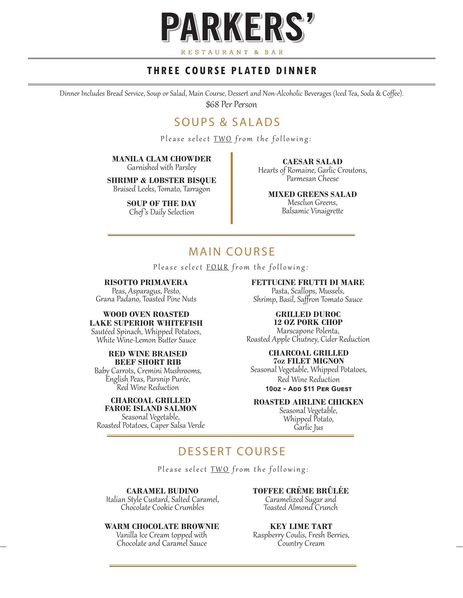

### **THREE COURSE PLATED DINNER**

Dinner Includes Bread Service, Soup or Salad, Main Course, Dessert and Non-Alcoholic Beverages (Iced Tea, Soda & Coffee). \$68 Per Person

# SOUPS & SALADS

Please select TWO from the following:

**MANILA CLAM CHOWDER** Garnished with Parsley

**SHRIMP & LOBSTER BISQUE** Braised Leeks, Tomato, Tarragon

> **SOUP OF THE DAY** Chef's Daily Selection

**CAESAR SALAD** Hearts of Romaine, Garlic Croutons, Parmesan Cheese

**MIXED GREENS SALAD** Mesclun Greens,

Balsamic Vinaigrette

# MAIN COURSE

Please select FOUR from the following:

#### **RISOTTO PRIMAVERA**

Peas, Asparagus, Pesto, Grana Padano, Toasted Pine Nuts

#### **WOOD OVEN ROASTED LAKE SUPERIOR WHITEFISH**

Sautéed Spinach, Whipped Potatoes, White Wine-Lemon Butter Sauce

### **RED WINE BRAISED BEEF SHORT RIB**<br>Baby Carrots. Cremini Mushrooms.

English Peas, Parsnip Purée,<br>Red Wine Reduction

# **CHARCOAL GRILLED**

**FAROE ISLAND SALMON** Roasted Potatoes, Caper Salsa Verde

#### **FETTUCINE FRUTTI DI MARE**

Pasta, Scallops, Mussels, Shrimp, Basil, Saffron Tomato Sauce

### **GRILLED DUROC**

**12 OZ PORK CHOP** Marscapone Polenta, Roasted Apple Chutney, Cider Reduction

#### **CHARCOAL GRILLED 7oz FILET MIGNON** Seasonal Vegetable, Whipped Potatoes, Red Wine Reduction **10oz - Add \$11 Per Guest**

**ROASTED AIRLINE CHICKEN**

Seasonal Vegetable, Whipped Potato, Garlic Jus

# DESSERT COURSE

Please select TWO from the following:

**CARAMEL BUDINO**

Italian Style Custard, Salted Caramel, Chocolate Cookie Crumbles

#### **WARM CHOCOLATE BROWNIE**

Vanilla Ice Cream topped with Chocolate and Caramel Sauce

#### **TOFFEE CRÈME BRÛLÉE**

Caramelized Sugar and Toasted Almond Crunch

**KEY LIME TART**

Raspberry Coulis, Fresh Berries, Country Cream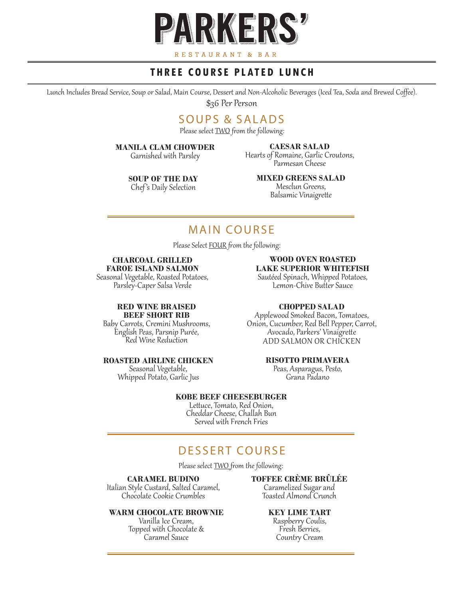

### **THREE COURSE PLATED LUNCH**

Lunch Includes Bread Service, Soup or Salad, Main Course, Dessert and Non-Alcoholic Beverages (Iced Tea, Soda and Brewed Coffee). \$36 Per Person

## SOUPS & SALADS

Please select **TWO** from the following:

#### **MANILA CLAM CHOWDER**

Garnished with Parsley

#### **CAESAR SALAD**

Hearts of Romaine, Garlic Croutons, Parmesan Cheese

**SOUP OF THE DAY** Chef's Daily Selection

#### **MIXED GREENS SALAD** Mesclun Greens, Balsamic Vinaigrette

# MAIN COURSE

Please Select FOUR from the following:

#### **CHARCOAL GRILLED FAROE ISLAND SALMON**

Seasonal Vegetable, Roasted Potatoes, Parsley-Caper Salsa Verde

#### **RED WINE BRAISED BEEF SHORT RIB**

Baby Carrots, Cremini Mushrooms, English Peas, Parsnip Purée, Red Wine Reduction

# **ROASTED AIRLINE CHICKEN**<br>Seasonal Vegetable,

Whipped Potato, Garlic Jus

### **WOOD OVEN ROASTED LAKE SUPERIOR WHITEFISH**

Sautéed Spinach, Whipped Potatoes, Lemon-Chive Butter Sauce

#### **CHOPPED SALAD**

Applewood Smoked Bacon, Tomatoes, Onion, Cucumber, Red Bell Pepper, Carrot, Avocado, Parkers' Vinaigrette ADD SALMON OR CHICKEN

#### **RISOTTO PRIMAVERA**

Peas, Asparagus, Pesto, Grana Padano

#### **KOBE BEEF CHEESEBURGER**

Lettuce, Tomato, Red Onion, Cheddar Cheese, Challah Bun Served with French Fries

# DESSERT COURSE

Please select **TWO** from the following:

#### **CARAMEL BUDINO**

Italian Style Custard, Salted Caramel, Chocolate Cookie Crumbles

#### **WARM CHOCOLATE BROWNIE**

Vanilla Ice Cream, Topped with Chocolate & Caramel Sauce

#### **TOFFEE CRÈME BRÛLÉE**

Caramelized Sugar and Toasted Almond Crunch

#### **KEY LIME TART**

Raspberry Coulis, Fresh Berries, Country Cream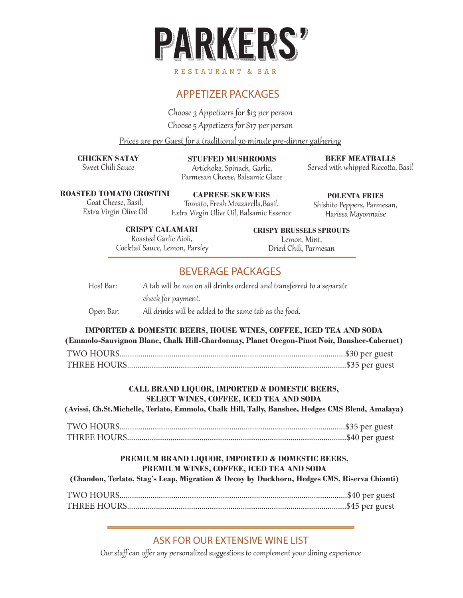

# APPETIZER PACKAGES

Choose 3 Appetizers for \$13 per person Choose 5 Appetizers for \$17 per person

Prices are per Guest for a traditional 30 minute pre-dinner gathering

**CHICKEN SATAY** Sweet Chili Sauce

**STUFFED MUSHROOMS** Artichoke, Spinach, Garlic, Parmesan Cheese, Balsamic Glaze

**BEEF MEATBALLS** Served with whipped Riccotta, Basil

**ROASTED TOMATO CROSTINI**

Goat Cheese, Basil, Extra Virgin Olive Oil

**CAPRESE SKEWERS** Tomato, Fresh Mozzarella,Basil, Extra Virgin Olive Oil, Balsamic Essence

**POLENTA FRIES** Shishito Peppers, Parmesan, Harissa Mayonnaise

**CRISPY CALAMARI** Roasted Garlic Aioli, Cocktail Sauce, Lemon, Parsley **CRISPY BRUSSELS SPROUTS** Lemon, Mint, Dried Chili, Parmesan

### BEVERAGE PACKAGES

Host Bar: A tab will be run on all drinks ordered and transferred to a separate check for payment. Open Bar: All drinks will be added to the same tab as the food.

### **IMPORTED & DOMESTIC BEERS, HOUSE WINES, COFFEE, ICED TEA AND SODA (Emmolo-Sauvignon Blanc, Chalk Hill-Chardonnay, Planet Oregon-Pinot Noir, Banshee-Cabernet)** TWO HOURS.............................................................................................................\$30 per guest THREE HOURS..........................................................................................................\$35 per guest

### **CALL BRAND LIQUOR, IMPORTED & DOMESTIC BEERS, SELECT WINES, COFFEE, ICED TEA AND SODA**

### **(Avissi, Ch.St.Michelle, Terlato, Emmolo, Chalk Hill, Tally, Banshee, Hedges CMS Blend, Amalaya)**

TWO HOURS.............................................................................................................\$35 per guest THREE HOURS..........................................................................................................\$40 per guest

### **PREMIUM BRAND LIQUOR, IMPORTED & DOMESTIC BEERS, PREMIUM WINES, COFFEE, ICED TEA AND SODA**

### **(Chandon, Terlato, Stag's Leap, Migration & Decoy by Duckhorn, Hedges CMS, Riserva Chianti)**

TWO HOURS..............................................................................................................\$40 per guest THREE HOURS..........................................................................................................\$45 per guest

### ASK FOR OUR EXTENSIVE WINE LIST

Our staff can offer any personalized suggestions to complement your dining experience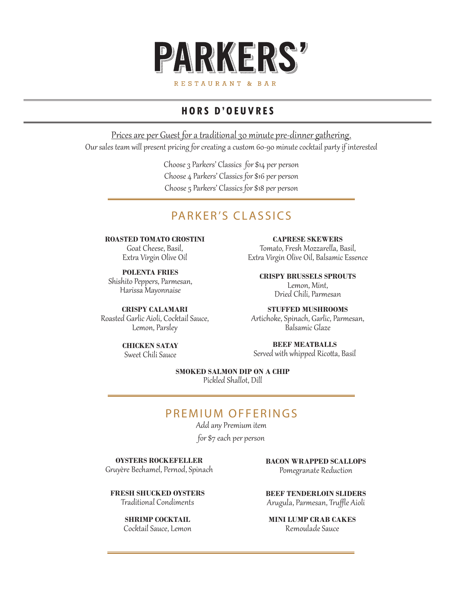

## **HORS D'OEUVRES**

Prices are per Guest for a traditional 30 minute pre-dinner gathering. Our sales team will present pricing for creating a custom 60-90 minute cocktail party if interested

> Choose 3 Parkers' Classics for \$14 per person Choose 4 Parkers' Classics for \$16 per person Choose 5 Parkers' Classics for \$18 per person

# PARKER'S CLASSICS

**ROASTED TOMATO CROSTINI** Goat Cheese, Basil, Extra Virgin Olive Oil

**POLENTA FRIES** Shishito Peppers, Parmesan, Harissa Mayonnaise

**CRISPY CALAMARI** Roasted Garlic Aioli, Cocktail Sauce, Lemon, Parsley

**CAPRESE SKEWERS** Tomato, Fresh Mozzarella, Basil, Extra Virgin Olive Oil, Balsamic Essence

**CRISPY BRUSSELS SPROUTS** Lemon, Mint, Dried Chili, Parmesan

**STUFFED MUSHROOMS** Artichoke, Spinach, Garlic, Parmesan, Balsamic Glaze

**CHICKEN SATAY** Sweet Chili Sauce

**BEEF MEATBALLS** Served with whipped Ricotta, Basil

**SMOKED SALMON DIP ON A CHIP** Pickled Shallot, Dill

### PREMIUM OFFERINGS

Add any Premium item

for \$7 each per person

**OYSTERS ROCKEFELLER** Gruyère Bechamel, Pernod, Spinach

**FRESH SHUCKED OYSTERS** Traditional Condiments

> **SHRIMP COCKTAIL** Cocktail Sauce, Lemon

**BACON WRAPPED SCALLOPS** Pomegranate Reduction

**BEEF TENDERLOIN SLIDERS** Arugula, Parmesan, Truffle Aioli

**MINI LUMP CRAB CAKES** Remoulade Sauce